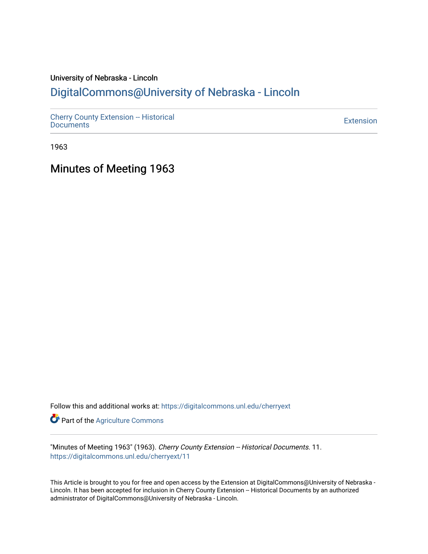# University of Nebraska - Lincoln

## [DigitalCommons@University of Nebraska - Lincoln](https://digitalcommons.unl.edu/)

[Cherry County Extension -- Historical](https://digitalcommons.unl.edu/cherryext)  [Documents](https://digitalcommons.unl.edu/cherryext) [Extension](https://digitalcommons.unl.edu/coop_extension) 

1963

Minutes of Meeting 1963

Follow this and additional works at: [https://digitalcommons.unl.edu/cherryext](https://digitalcommons.unl.edu/cherryext?utm_source=digitalcommons.unl.edu%2Fcherryext%2F11&utm_medium=PDF&utm_campaign=PDFCoverPages) 

**Part of the [Agriculture Commons](http://network.bepress.com/hgg/discipline/1076?utm_source=digitalcommons.unl.edu%2Fcherryext%2F11&utm_medium=PDF&utm_campaign=PDFCoverPages)** 

"Minutes of Meeting 1963" (1963). Cherry County Extension -- Historical Documents. 11. [https://digitalcommons.unl.edu/cherryext/11](https://digitalcommons.unl.edu/cherryext/11?utm_source=digitalcommons.unl.edu%2Fcherryext%2F11&utm_medium=PDF&utm_campaign=PDFCoverPages)

This Article is brought to you for free and open access by the Extension at DigitalCommons@University of Nebraska - Lincoln. It has been accepted for inclusion in Cherry County Extension -- Historical Documents by an authorized administrator of DigitalCommons@University of Nebraska - Lincoln.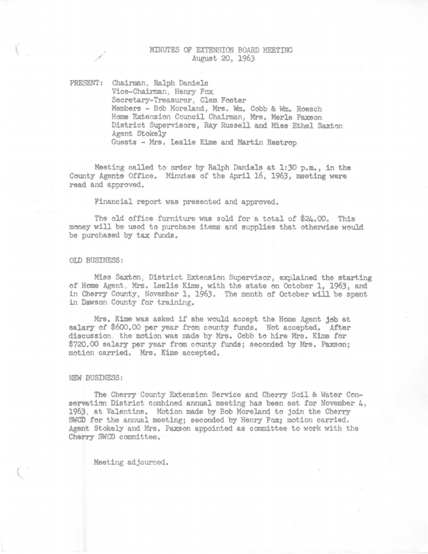## MINUTES OF EXTENSION BOARD MEETING August 20, 1963

PRESENT: Chairman, Ralph Daniela Vice-Chairman, Henry Fox Secretary-Treasurer, Clam Foster Members - Bob Moreland, Mrs. Wm. Cobb & Wm. Roesch Home Extension Council Chairman, Mrs. Merle Paxson District Supervisors, Ray Russell and Miss Ethel Saxton Agent Stokely Guests - Mrs. Leslie Kime and Martin Restrop

Meeting called to order by Ralph Daniels at 1:30 p.m., in the County Agents Office. Minutes of the April 16, 1963, meeting were read and approved.

Financial report was presented and approved.

The old office furniture was sold for a total of \$24.00. This money will be used to purchase items and supplies that otherwise would be purchased by tax funds.

#### OLD BUSINESS :

/

Miss Saxton; District Extension Supervisor, explained the starting of Home Agent, Mrs. Leslie Kime, with the state on October 1, 1963, and in Cherry County, November 1, 1963. The month of October will be spent in Dawson County for training.

Mrs. Kime was asked if she would accept the Home Agent job at salary of \$600.00 per year from county funds. Not accepted. After discussion . the motion was made by Mrs. Cobb to hire Mrs. Kime for \$720.00 salary per year from county funds; seconded by Mrs. Paxson; motion carried. Mrs. Kime accepted.

#### NEW BUSINESS:

The Cherry County Extension Service and Cherry Soil & Water Conservation District combined annual meeting has been set for November  $\mu$ , 1963, at Valentine. Motion made by Bob Moreland to join the Cherry SWCD for the annual meeting; seconded by Henry Fox; motion carried. Agent Stokely and Mrs. Paxson appointed as committee to work with the Cherry SWCD committee.

Meeting adjourned.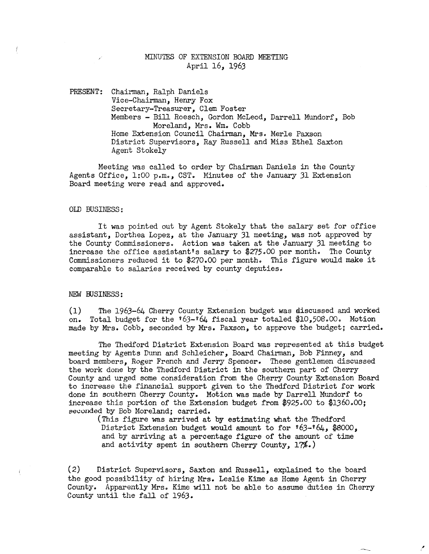## MINUTES OF EXTENSION BOARD MEETING April 16, 1963

PRESENT: Chairman, Ralph Daniels Vice-Chairman, Henry Fox Secretary-Treasurer, Clem Foster Members - Bill Roesch, Gordon McLeod, Darrell Mundorf, Bob Moreland, Mrs. Wm. Cobb Home Extension Council Chairman, Mrs. Merle Paxson District Supervisors, Ray Russell and Miss Ethel Saxton Agent Stokely

Meeting was called to order by Chairman Daniels in the County Agents Office, 1:00 p.m., CST. Minutes of the January 31 Extension Board meeting were read and approved.

#### OLD BUSINESS:

It was pointed out by Agent Stokely that the salary set for office assistant, Dorthea Lopez, at the January 31 meeting, was not approved by the County Commissioners. Action was taken at the January 31 meeting to increase the office assistant's salary to  $$275.00$  per month. The County Commissioners reduced it to \$270.00 per month. This figure would make it comparable to salaries received by county deputies.

#### NEW BUSINESS:

(1) The 1963-64 Cherry County Extension budget was discussed and worked on. Total budget for the  $63-64$  fiscal year totaled \$10,508.00. Motion made by Mrs. Cobb, seconded by Mrs. Paxson, to approve the budget; carried.

The Thedford District Extension Board was represented at this budget meeting by Agents Dunn and Schleicher, Board Chairman, Bob Finney, and board members, Roger French and Jerry Spencer. These gentlemen discussed the work done by the Thedford District in the southern part of Cherry County and urged some consideration from the Cherry County Extension Board to increase the financial support given to the Thedford District for work done in southern Cherry County. Motion was made by Darrell Mundorf to increase this portion of the Extension budget from \$925.00 to \$1360.00; seconded by Bob Moreland; carried.

(This figure was arrived at by estimating what the Thedford District Extension budget would amount to for  $163-164$ , \$8000, and by arriving at a percentage figure of the amount of time and activity spent in southern Cherry County, 17%.)

(2) District Supervisors, Saxton and Russell, explained to the board the good possibility of hiring Mrs. Leslie Kime as Home Agent in Cherry County. Apparently Mrs. Kime will not be able to assume duties in Cherry County until the fall of 1963.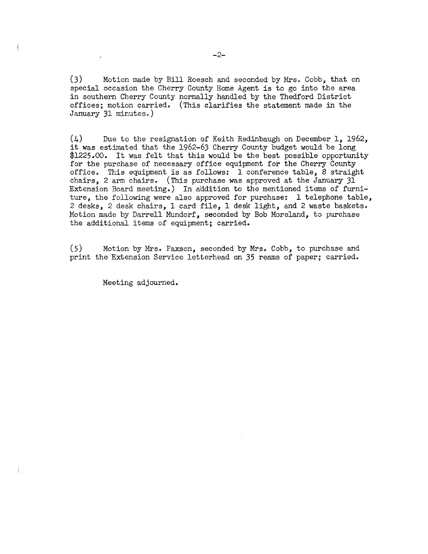(3) Motion made by Bill Roesch and seconded by Mrs. Cobb, that on special occasion the Cherry County Home Agent is to go into the area in southern Cherry County normally handled by the Thedford District offices; motion carried. (This clarifies the statement made in the January 31 minutes.)

(4) Due to the resignation of Keith Redinbaugh on December 1, 1962, it was estimated that the 1962-63 Cherry County budget would be long \$1225.00. It was felt that this would be the best possible opportunity for the purchase of necessary office equipment for the Cherry County office. This equipment is as follows: 1 conference table, 8 straight chairs, 2 arm chairs. (This purchase was approved at the January 31 Extension Board meeting.) In addition to the mentioned items of furniture, the following were also approved for purchase: 1 telephone table, 2 desks, 2 desk chairs, 1 card file, 1 desk light, and 2 waste baskets. Motion made by Darrell Mundorf, seconded by Bob Moreland, to purchase the additional items of equipment; carried.

(5) Motion by Mrs. Paxson, seconded by Mrs. Cobb, to purchase and print the Extension Service letterhead on 35 reams of paper; carried.

Meeting adjourned.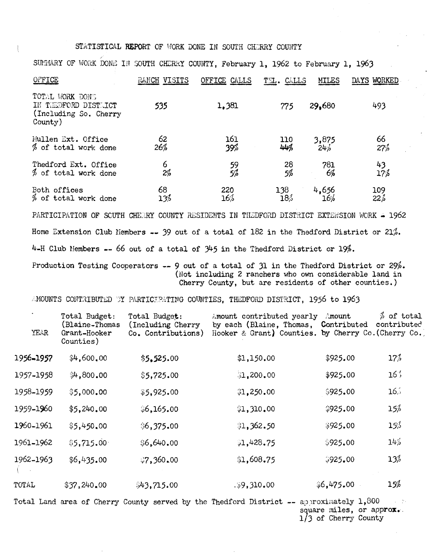## STATISTICAL REPORT OF WORK DONE IN SOUTH CHERRY COUNTY

| SUMMARY OF WORK DONE IN SOUTH CHERRY COUNTY, February 1, 1962 to February 1, 1963 |              |                 |            |              |                 |
|-----------------------------------------------------------------------------------|--------------|-----------------|------------|--------------|-----------------|
| OFFICE                                                                            | RANCH VISITS | OFFICE<br>CALLS | TEL. CALLS | <b>MILES</b> | DAYS WORKED     |
| TOTAL WORK DONE<br>IN THEOFORD DISTUICT<br>(Including So. Cherry<br>Country)      | 535          | 1,381           | 775        | 29,680       | 493             |
| Mullen Ext. Office                                                                | 62           | 161             | 110        | 3,875        | 66              |
| % of total work done                                                              | 26%          | 39%             | 44%        | 24%          | 27%             |
| Thedford Ext. Office                                                              | 6            | 59              | 28         | 781          | $^{43}_{17\%}$  |
| % of total work done                                                              | 2%           | 5%              | 5%         | 6%           |                 |
| Both offices                                                                      | 68           | 220             | 138        | 4,656        | 109             |
| % of total work done                                                              | 13%          | 16%             | 18%        | 16%          | $22\frac{1}{6}$ |

PARTICIPATION OF SCUTH CHERRY COUNTY RESIDENTS IN THEDFORD DISTRICT EXTENSION WORK - 1962 Home Extension Club Members -- 39 out of a total of 182 in the Thedford District or 21%. 4-H Club Hembers **--** 66 out of a total of 345 in the Thedford District or 19%.

Production Testing Cooperators  $--$  9 out of a total of 31 in the Thedford District or  $29\%$ . (Not including 2 ranchers who own considerable land in Cherry County, but are residents of other counties.)

AMOUNTS CONTRIBUTED BY PARTICIPATING COUNTIES, THEDFORD DISTRICT, 1956 to 1963

| <b>YEAR</b> | Total Budget:<br>(Blaine-Thomas<br>Grant-Hooker<br>Counties) | Total Budget:<br>(Including Cherry<br>Co. Contributions) | Amount contributed yearly<br>by each (Blaine, Thomas,<br>Hooker & Grant) Counties. by Cherry Co. (Cherry Co.) | Amount<br>Contributed | $%$ of total<br>contributed |
|-------------|--------------------------------------------------------------|----------------------------------------------------------|---------------------------------------------------------------------------------------------------------------|-----------------------|-----------------------------|
| 1956-1957   | \$4,600,00                                                   | \$5,525.00                                               | \$1,150.00                                                                                                    | \$925.00              | 17%                         |
| 1957-1958   | \$4,800,00                                                   | \$5,725.00                                               | 31,200,00                                                                                                     | \$925.00              | 16'                         |
| 1958-1959   | \$5,000,00                                                   | \$5,925.00                                               | \$1,250.00                                                                                                    | \$925.00              | $16\%$                      |
| 1959-1960   | \$5,240.00                                                   | \$6,165.00                                               | \$1,310.00                                                                                                    | \$925.00              | 15%                         |
| 1960-1961   | \$5,450.00                                                   | \$6,375.00                                               | \$1,362.50                                                                                                    | \$925.00              | $15\%$                      |
| 1961-1962   | \$5,715.00                                                   | \$6,640.00                                               | 1,428.75                                                                                                      | \$925.00              | 14%                         |
| 1962-1963   | \$6,435.00                                                   | 360.00                                                   | \$1,608.75                                                                                                    | \$925,00              | 13%                         |
| TOTAL       | \$37,240,00                                                  | \$43,715.00                                              | .59,310.00                                                                                                    | \$6,475.00            | 15%                         |

Total Land area of Cherry County served by the Thedford District -- approximately  $1,800$ square miles, or approx.  $1/3$  of Cherry County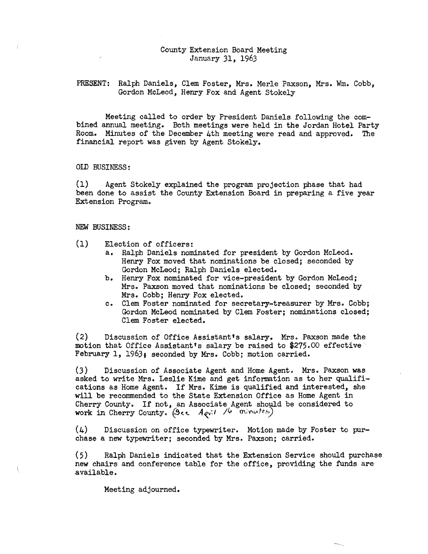## County Extension Board Meeting January 31, 1963

## PRESENT: Ralph Daniels, Clem Foster, Mrs. Merle Paxson, Mrs. Wm. Cobb, Gordon McLeod, Henry Fox and Agent Stokely

Meeting called to order by President Daniels following the combined annual meeting. Both meetings were held in the Jordan Hotel Party Room. Minutes of the December 4th meeting were read and approved. The financial report was given by Agent Stokely.

## OLD BUSINESS:

(1) Agent Stokely explained the program projection phase that had been done to assist the County Extension Board in preparing a five year Extension Program.

#### NEW BUSINESS:

- (1) Election of officers:
	- a. Ralph Daniels nominated for president by Gordon McLeod. Henry Fox moved that nominations be closed; seconded by Gordon McLeod; Ralph Daniels elected.
	- b. Henry Fox nominated for vice-president by Gordon McLeod; Mrs. Paxson moved that nominations be closed; seconded by Mrs. Cobb; Henry Fox elected.
	- c. Clem Foster nominated for secretary-treasurer by Mrs. Cobb; Gordon McLeod nominated by Clem Foster; nominations closed; Clem Foster elected.

(2) Discussion of Office Assistant's salary. Mrs. Paxson made the motion that Office Assistant's salary be raised to \$275.00 effective February 1, 1963, seconded by Mrs. Cobb; motion carried.

(3) Discussion of Associate Agent and Home Agent. Mrs. Paxson was asked to write Mrs. Leslie Kime and get information as to her qualifications as Home Agent. If Mrs. Kime is qualified and interested, she will be recommended to the State Extension Office as Home Agent in Cherry County. If not, an Associate Agent should be considered to work in Cherry County.  $(3\epsilon\epsilon \quad A_{\ell}v^{11}/6 \quad mivutes)$ 

(4) Discussion on office typewriter. Motion made by Foster to purchase a new typewriter; seconded by Mrs. Paxson; carried.

(5) Ralph Daniels indicated that the Extension Service should purchase new chairs and conference table for the office, providing the funds are available.

Meeting adjourned.